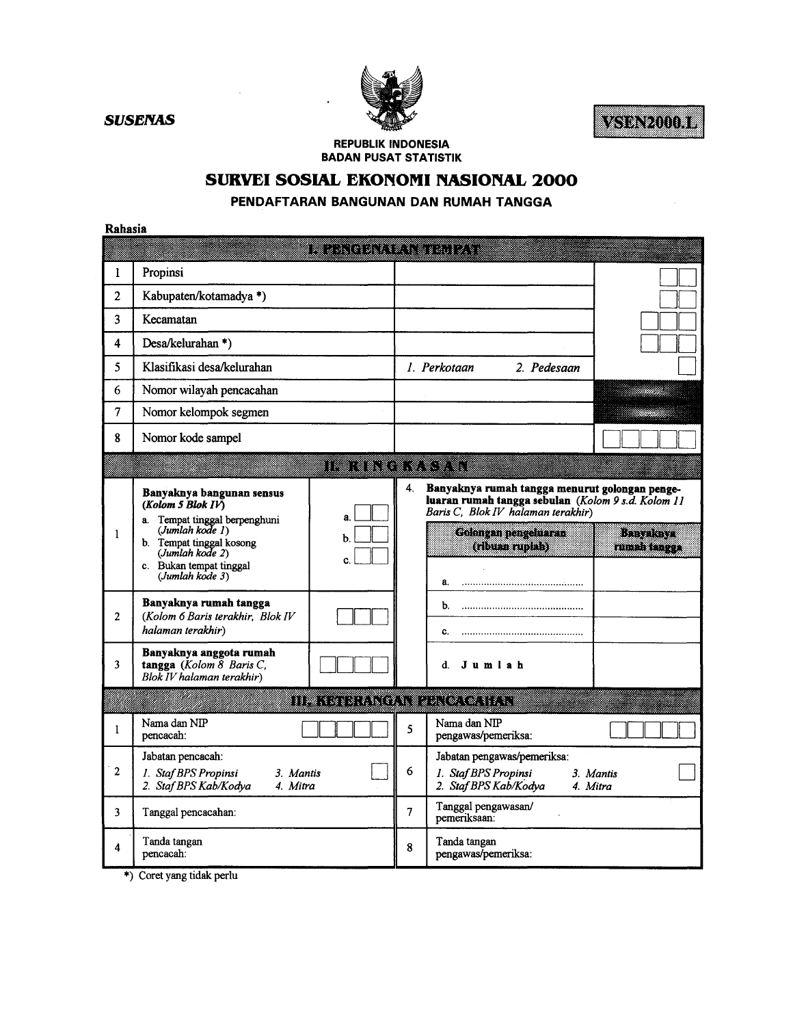

**SUSENAS** 

VSDN2000.1

**REPUBLIK INDONESIA BADAN PUSAT STATISTIK** 

## SURVEI SOSIAL EKONOMI NASIONAL 2000

PENDAFTARAN BANGUNAN DAN RUMAH TANGGA

Rahasia

| 1              | Propinsi                                                                                      |                    |                |                                                                                                                                            |                       |
|----------------|-----------------------------------------------------------------------------------------------|--------------------|----------------|--------------------------------------------------------------------------------------------------------------------------------------------|-----------------------|
| $\overline{2}$ | Kabupaten/kotamadya *)                                                                        |                    |                |                                                                                                                                            |                       |
| $\overline{3}$ | Kecamatan                                                                                     |                    |                |                                                                                                                                            |                       |
| 4              | Desa/kelurahan*)                                                                              |                    |                |                                                                                                                                            |                       |
| 5              | Klasifikasi desa/kelurahan                                                                    |                    |                | 1. Perkotaan<br>2. Pedesaan                                                                                                                |                       |
| 6              | Nomor wilayah pencacahan                                                                      |                    |                |                                                                                                                                            |                       |
| 7              | Nomor kelompok segmen                                                                         |                    |                |                                                                                                                                            |                       |
| 8              | Nomor kode sampel                                                                             |                    |                |                                                                                                                                            |                       |
|                |                                                                                               | iiwa anno 1970. An |                |                                                                                                                                            |                       |
|                | Banyaknya bangunan sensus<br>(Kolom 5 Blok IV)<br>a. Tempat tinggal berpenghuni               | $\mathbf{a}$       | 4.             | Banyaknya rumah tangga menurut golongan penge-<br>luaran rumah tangga sebulan (Kolom 9 s.d. Kolom 11<br>Baris C, Blok IV halaman terakhir) |                       |
| 1              | (Jumbah kode I)<br>b. Tempat tinggal kosong<br>(Jumlah kode 2)<br>c. Bukan tempat tinggal     | b.<br>C.           |                | <b>Golongan pengeluaran</b><br>(ribuan rupiah)                                                                                             | linin t<br>militan    |
| $\overline{c}$ | (Jumlah kode 3)<br>Banyaknya rumah tangga<br>(Kolom 6 Baris terakhir, Blok IV                 |                    |                | а.<br>b.                                                                                                                                   |                       |
|                | halaman terakhir)                                                                             |                    |                | C.<br>                                                                                                                                     |                       |
| 3              | Banyaknya anggota rumah<br>tangga (Kolom $\overline{8}$ Baris C,<br>Blok IV halaman terakhir) |                    |                | d.<br>Jumlah                                                                                                                               |                       |
|                |                                                                                               |                    |                | III TERRITORIA DI CONTINU                                                                                                                  |                       |
| 1              | Nama dan NIP<br>pencacah:                                                                     |                    | 5              | Nama dan NIP<br>pengawas/pemeriksa:                                                                                                        |                       |
| $\mathbf{2}$   | Jabatan pencacah:<br>1. Staf BPS Propinsi<br>3. Mantis<br>2. Staf BPS Kab/Kodya<br>4. Mitra   |                    | 6              | Jabatan pengawas/pemeriksa:<br>1. Staf BPS Propinsi<br>2. Staf BPS Kab/Kodya                                                               | 3. Mantis<br>4. Mitra |
| 3              | Tanggal pencacahan:                                                                           |                    | $\overline{7}$ | Tanggal pengawasan/<br>pemeriksaan:                                                                                                        |                       |
| 4              | Tanda tangan<br>pencacah:                                                                     |                    | 8              | Tanda tangan<br>pengawas/pemeriksa:                                                                                                        |                       |

\*) Coret yang tidak perlu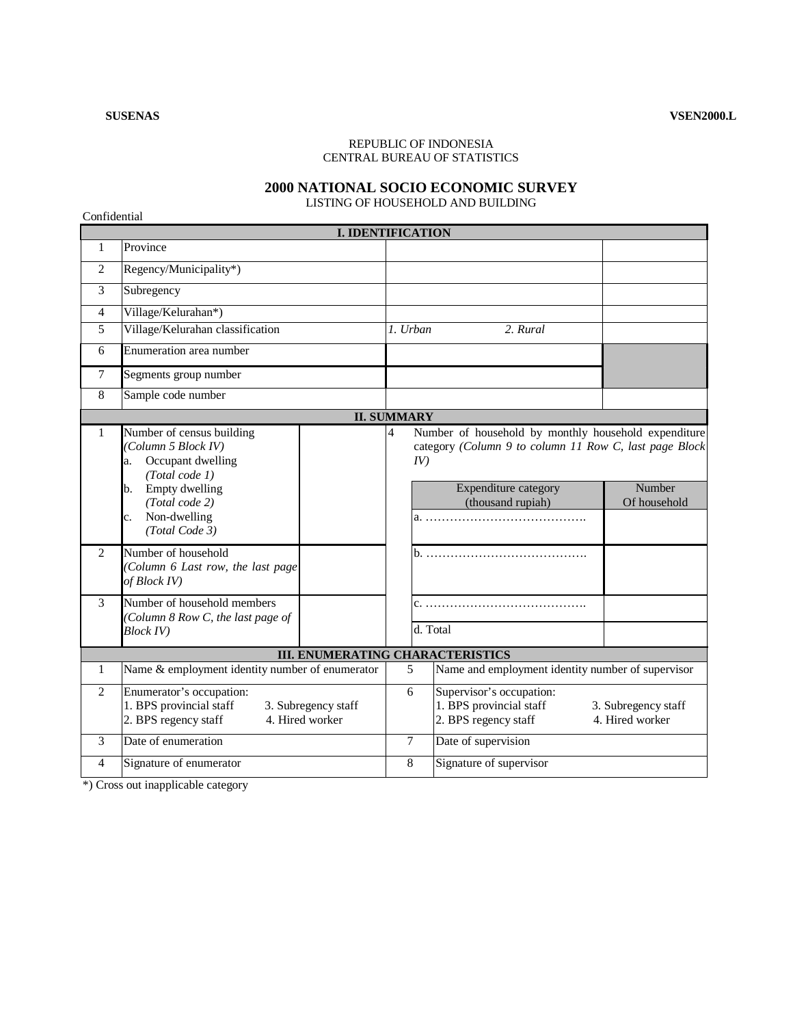Confidential

## REPUBLIC OF INDONESIA CENTRAL BUREAU OF STATISTICS

## **2000 NATIONAL SOCIO ECONOMIC SURVEY**

LISTING OF HOUSEHOLD AND BUILDING

**I. IDENTIFICATION**  1 Province 2 Regency/Municipality\*) 3 Subregency 4 Village/Kelurahan\*) 5 Village/Kelurahan classification *1. Urban 2. Rural*  6 Enumeration area number 7 Segments group number 8 Sample code number **II. SUMMARY**  Number of household by monthly household expenditure category *(Column 9 to column 11 Row C, last page Block IV)* Expenditure category (thousand rupiah) Number Of household 1 Number of census building *(Column 5 Block IV)*  a. Occupant dwelling *(Total code 1)*  b. Empty dwelling *(Total code 2)*  c. Non-dwelling *(Total Code 3)*  4 a. …………………………………. 2 Number of household *(Column 6 Last row, the last page of Block IV)*  b. …………………………………. 3 Number of household members c. …………………………………. *(Column 8 Row C, the last page of Block IV*) **d.** Total **III. ENUMERATING CHARACTERISTICS**  1 Name & employment identity number of enumerator 5 Name and employment identity number of supervisor 2 Enumerator's occupation: 1. BPS provincial staff 3. Subregency staff<br>2. BPS regency staff 4. Hired worker 2. BPS regency staff 6 Supervisor's occupation: 1. BPS provincial staff 3. Subregency staff<br>
2. BPS regency staff 4. Hired worker 2. BPS regency staff 3 Date of enumeration 7 Date of supervision 4 Signature of enumerator 8 Signature of supervisor

\*) Cross out inapplicable category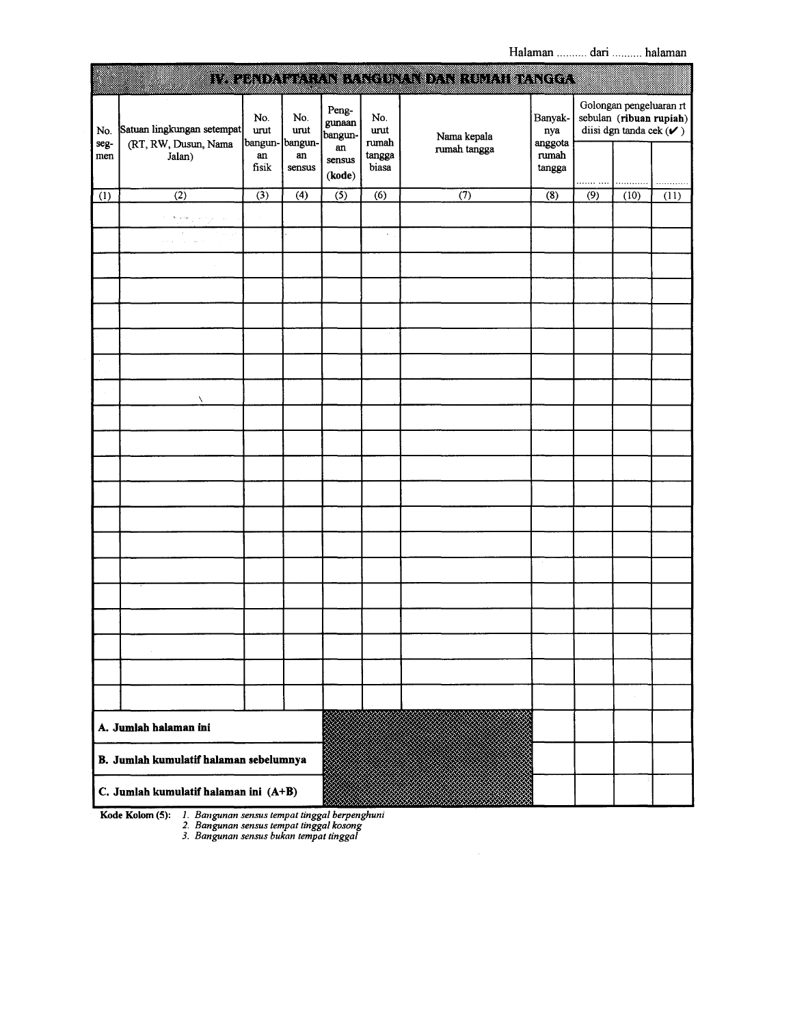|                                       |                                                                                                                                 |                                |                  |                            |                      | IV. EENDA ELIKANI KANGUNATI DAN HUMAH DANGGA |                           |     |                                                      |                         |
|---------------------------------------|---------------------------------------------------------------------------------------------------------------------------------|--------------------------------|------------------|----------------------------|----------------------|----------------------------------------------|---------------------------|-----|------------------------------------------------------|-------------------------|
| No.<br>seg-                           | Satuan lingkungan setempat<br>(RT, RW, Dusun, Nama                                                                              | No.<br>urut<br>bangun- bangun- | No.<br>urut      | Peng-<br>gunaan<br>bangun- | No.<br>urut<br>rumah | Nama kepala                                  | Banyak-<br>nya<br>anggota |     | Golongan pengeluaran rt<br>diisi dgn tanda cek $(V)$ | sebulan (ribuan rupiah) |
| men                                   | Jalan)                                                                                                                          | an<br>fisik                    | an<br>sensus     | an<br>sensus<br>(kode)     | tangga<br>biasa      | rumah tangga                                 | rumah<br>tangga           | .   |                                                      | .                       |
| (1)                                   | $\overline{(2)}$                                                                                                                | $\overline{(3)}$               | $\overline{(4)}$ | $\overline{(5)}$           | $\overline{(6)}$     | $\overline{(\overline{7})}$                  | $\overline{\textbf{(8)}}$ | (9) | (10)                                                 | (11)                    |
|                                       | $\mathbf{S}\left(\mathbf{r},\mathbf{r},\mathbf{r},\mathbf{z}\right)$ , $\mathbf{r},\mathbf{r},\mathbf{r},\mathbf{r},\mathbf{z}$ |                                |                  |                            |                      |                                              |                           |     |                                                      |                         |
|                                       | $\sim$<br>$\cdots$<br>$\sim$                                                                                                    |                                |                  |                            | $\omega$             |                                              |                           |     |                                                      |                         |
|                                       |                                                                                                                                 |                                |                  |                            |                      |                                              |                           |     |                                                      |                         |
|                                       |                                                                                                                                 |                                |                  |                            |                      |                                              |                           |     |                                                      |                         |
|                                       |                                                                                                                                 |                                |                  |                            |                      |                                              |                           |     |                                                      |                         |
|                                       |                                                                                                                                 |                                |                  |                            |                      |                                              |                           |     |                                                      |                         |
|                                       |                                                                                                                                 |                                |                  |                            |                      |                                              |                           |     |                                                      |                         |
|                                       | ╲                                                                                                                               |                                |                  |                            |                      |                                              |                           |     |                                                      |                         |
|                                       |                                                                                                                                 |                                |                  |                            |                      |                                              |                           |     |                                                      |                         |
|                                       |                                                                                                                                 |                                |                  |                            |                      |                                              |                           |     |                                                      |                         |
|                                       |                                                                                                                                 |                                |                  |                            |                      |                                              |                           |     |                                                      |                         |
|                                       |                                                                                                                                 |                                |                  |                            |                      |                                              |                           |     |                                                      |                         |
|                                       |                                                                                                                                 |                                |                  |                            |                      |                                              |                           |     |                                                      |                         |
|                                       |                                                                                                                                 |                                |                  |                            |                      |                                              |                           |     |                                                      |                         |
|                                       |                                                                                                                                 |                                |                  |                            |                      |                                              |                           |     |                                                      |                         |
|                                       |                                                                                                                                 |                                |                  |                            |                      |                                              |                           |     |                                                      |                         |
|                                       |                                                                                                                                 |                                |                  |                            |                      |                                              |                           |     |                                                      |                         |
|                                       |                                                                                                                                 |                                |                  |                            |                      |                                              |                           |     |                                                      |                         |
|                                       |                                                                                                                                 |                                |                  |                            |                      |                                              |                           |     |                                                      |                         |
|                                       |                                                                                                                                 |                                |                  |                            |                      |                                              |                           |     |                                                      |                         |
|                                       | A. Jumlah halaman ini                                                                                                           |                                |                  |                            |                      |                                              |                           |     |                                                      |                         |
|                                       | B. Jumlah kumulatif halaman sebelumnya                                                                                          |                                |                  |                            |                      |                                              |                           |     |                                                      |                         |
| C. Jumlah kumulatif halaman ini (A+B) |                                                                                                                                 |                                |                  |                            |                      |                                              |                           |     |                                                      |                         |

Kode Kolom (5): 1. Bangunan sensus tempat tinggal berpenghuni<br>2. Bangunan sensus tempat tinggal kosong<br>3. Bangunan sensus bukan tempat tinggal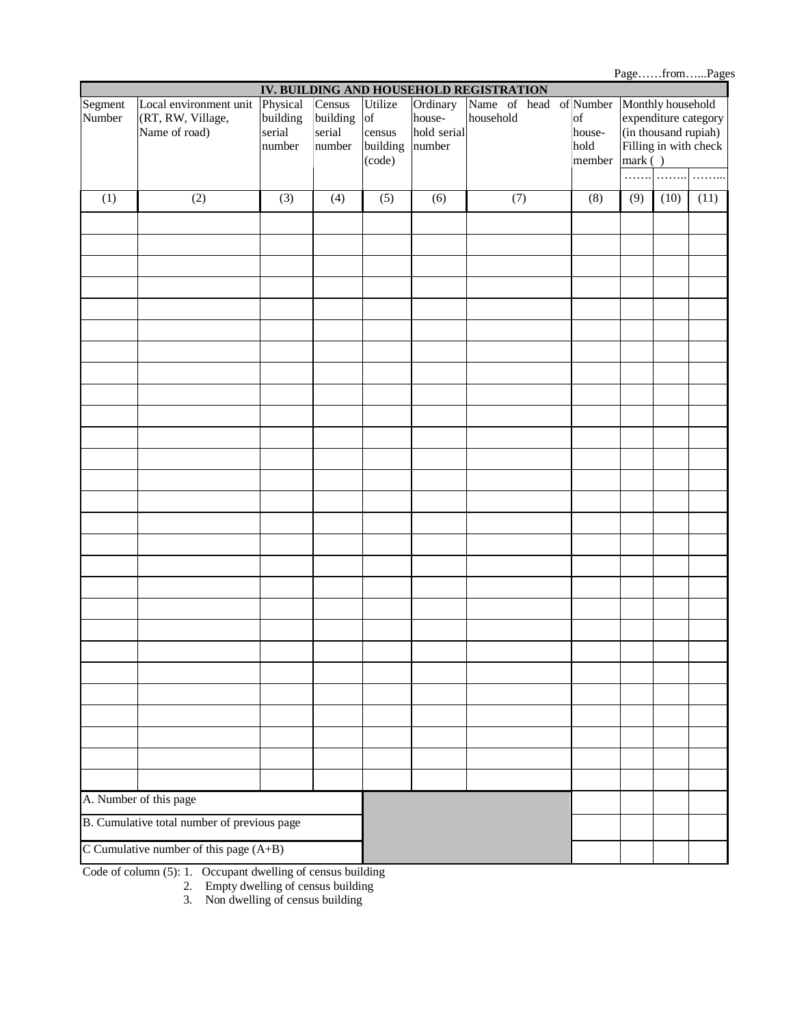Page……from…...Pages **IV. BUILDING AND HOUSEHOLD REGISTRATION**  Monthly household expenditure category (in thousand rupiah) Filling in with check mark ( ) Segment Number Local environment unit (RT, RW, Village, Name of road) Physical building serial number Census building serial number Utilize of census building (code) **Ordinary** household serial number Name of head of Number household of household member ……. ……. ……. (1)  $(2)$   $(3)$   $(4)$   $(5)$   $(6)$   $(7)$   $(8)$   $(9)$   $(10)$   $(11)$ A. Number of this page B. Cumulative total number of previous page C Cumulative number of this page (A+B)

Code of column (5): 1. Occupant dwelling of census building

2. Empty dwelling of census building

3. Non dwelling of census building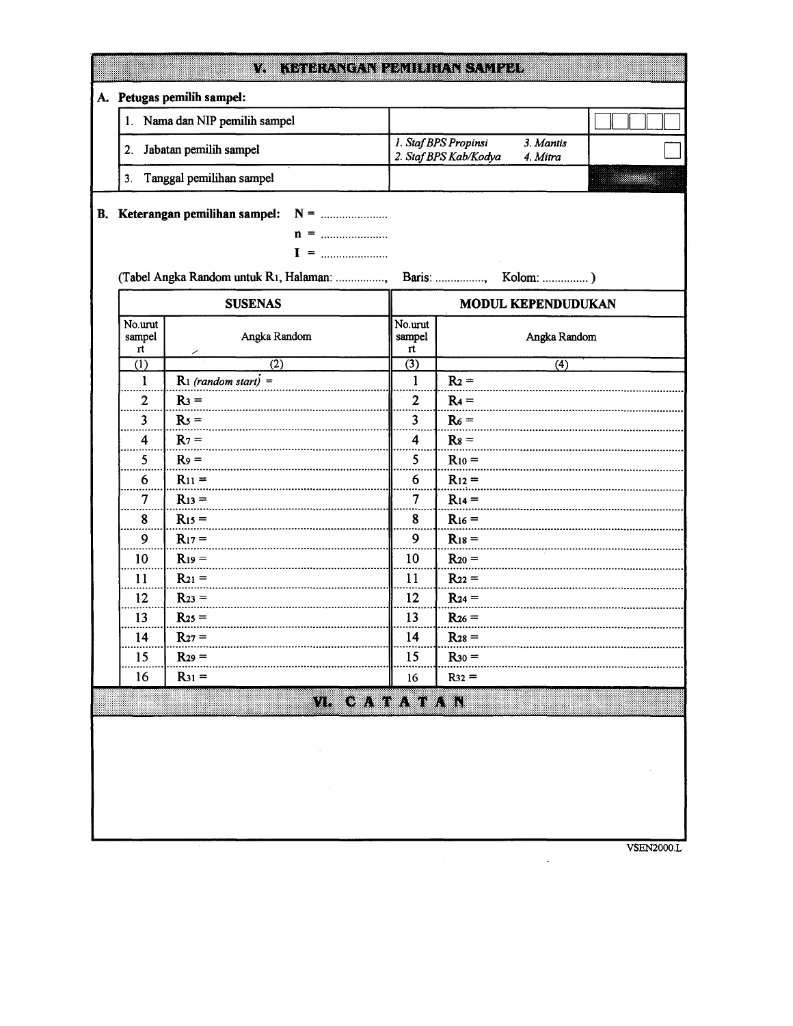|                         | A. Petugas pemilih sampel:               |                         |                                                                        |  |  |  |
|-------------------------|------------------------------------------|-------------------------|------------------------------------------------------------------------|--|--|--|
| 1.                      | Nama dan NIP pemilih sampel              |                         |                                                                        |  |  |  |
| 2.                      | Jabatan pemilih sampel                   |                         | 1. Staf BPS Propinsi<br>3. Mantis<br>2. Staf BPS Kab/Kodya<br>4. Mitra |  |  |  |
| 3.                      | Tanggal pemilihan sampel                 |                         |                                                                        |  |  |  |
|                         |                                          |                         |                                                                        |  |  |  |
|                         | B. Keterangan pemilihan sampel:          |                         |                                                                        |  |  |  |
|                         |                                          |                         |                                                                        |  |  |  |
|                         | (Tabel Angka Random untuk R1, Halaman: , |                         | Baris:                                                                 |  |  |  |
|                         |                                          |                         |                                                                        |  |  |  |
|                         | <b>SUSENAS</b>                           |                         | MODUL KEPENDUDUKAN                                                     |  |  |  |
| No.urut<br>sampel<br>rt | Angka Random                             | No.urut<br>sampel<br>rt | Angka Random                                                           |  |  |  |
| $\overline{(1)}$        | $\overline{(2)}$                         | $\overline{(3)}$        | (4)                                                                    |  |  |  |
| 1                       | $R_1$ (random start) =                   | $\mathbf{1}$            | $R_2 =$                                                                |  |  |  |
| 2                       | $R_3 =$                                  | $\overline{2}$          | $R_4 =$                                                                |  |  |  |
| 3                       | $Rs =$                                   | $\overline{\mathbf{3}}$ | $R_6 =$                                                                |  |  |  |
| 4                       | $R_7 =$                                  | 4                       | $Rs =$                                                                 |  |  |  |
| 5                       | $Ro =$                                   | 5                       | $R_{10} =$                                                             |  |  |  |
| 6                       | $R_{11} =$                               | 6                       | $R_{12} =$                                                             |  |  |  |
| 7                       | $R_{13} =$                               | 7                       | $R_{14} =$                                                             |  |  |  |
| 8                       | $R_{15} =$                               | 8                       | $R_{16} =$                                                             |  |  |  |
| 9                       | $R_{17} =$                               | 9                       | $R_{18} =$                                                             |  |  |  |
| 10                      | $R_{19} =$                               | 10                      | $R_{20} =$                                                             |  |  |  |
| 11                      | $R_{21} =$                               | 11                      | $R_{22} =$                                                             |  |  |  |
| 12                      | $R_{23} =$                               | 12                      | $R_{24} =$                                                             |  |  |  |
|                         | $R_{25} =$                               | 13                      | $R_{26} =$                                                             |  |  |  |
| 13                      |                                          |                         | $R_{28} =$                                                             |  |  |  |
| 14                      | $R_{27} =$                               | 14                      |                                                                        |  |  |  |
| 15                      | $R_{29} =$                               | 15                      | $R_{30} =$                                                             |  |  |  |
| 16                      | $R_{31} =$                               | 16                      | $R32 =$                                                                |  |  |  |